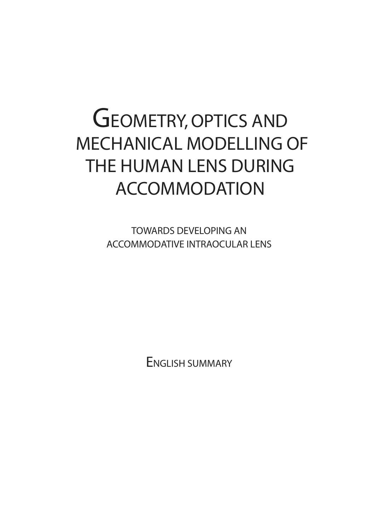# GEOMETRY, OPTICS AND MECHANICAL MODELLING OF THE HUMAN LENS DURING ACCOMMODATION

TOWARDS DEVELOPING AN ACCOMMODATIVE INTRAOCULAR LENS

ENGLISH SUMMARY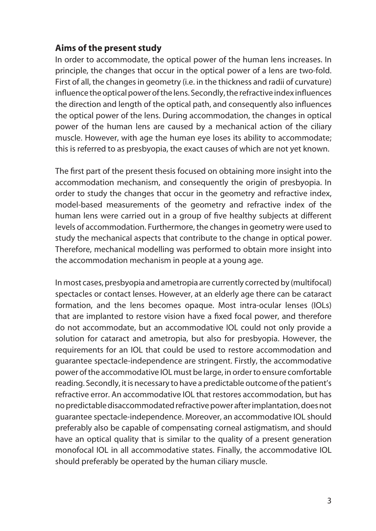## **Aims of the present study**

In order to accommodate, the optical power of the human lens increases. In principle, the changes that occur in the optical power of a lens are two-fold. First of all, the changes in geometry (i.e. in the thickness and radii of curvature) influence the optical power of the lens. Secondly, the refractive index influences the direction and length of the optical path, and consequently also influences the optical power of the lens. During accommodation, the changes in optical power of the human lens are caused by a mechanical action of the ciliary muscle. However, with age the human eye loses its ability to accommodate; this is referred to as presbyopia, the exact causes of which are not yet known.

The first part of the present thesis focused on obtaining more insight into the accommodation mechanism, and consequently the origin of presbyopia. In order to study the changes that occur in the geometry and refractive index, model-based measurements of the geometry and refractive index of the human lens were carried out in a group of five healthy subjects at different levels of accommodation. Furthermore, the changes in geometry were used to study the mechanical aspects that contribute to the change in optical power. Therefore, mechanical modelling was performed to obtain more insight into the accommodation mechanism in people at a young age.

In most cases, presbyopia and ametropia are currently corrected by (multifocal) spectacles or contact lenses. However, at an elderly age there can be cataract formation, and the lens becomes opaque. Most intra-ocular lenses (IOLs) that are implanted to restore vision have a fixed focal power, and therefore do not accommodate, but an accommodative IOL could not only provide a solution for cataract and ametropia, but also for presbyopia. However, the requirements for an IOL that could be used to restore accommodation and guarantee spectacle-independence are stringent. Firstly, the accommodative power of the accommodative IOL must be large, in order to ensure comfortable reading. Secondly, it is necessary to have a predictable outcome of the patient's refractive error. An accommodative IOL that restores accommodation, but has no predictable disaccommodated refractive power after implantation, does not guarantee spectacle-independence. Moreover, an accommodative IOL should preferably also be capable of compensating corneal astigmatism, and should have an optical quality that is similar to the quality of a present generation monofocal IOL in all accommodative states. Finally, the accommodative IOL should preferably be operated by the human ciliary muscle.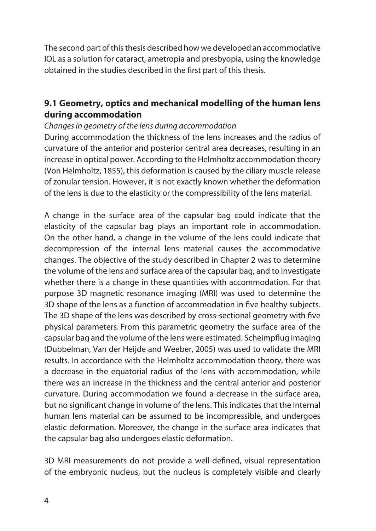The second part of this thesis described how we developed an accommodative IOL as a solution for cataract, ametropia and presbyopia, using the knowledge obtained in the studies described in the first part of this thesis.

## **9.1 Geometry, optics and mechanical modelling of the human lens during accommodation**

#### *Changes in geometry of the lens during accommodation*

During accommodation the thickness of the lens increases and the radius of curvature of the anterior and posterior central area decreases, resulting in an increase in optical power. According to the Helmholtz accommodation theory (Von Helmholtz, 1855), this deformation is caused by the ciliary muscle release of zonular tension. However, it is not exactly known whether the deformation of the lens is due to the elasticity or the compressibility of the lens material.

A change in the surface area of the capsular bag could indicate that the elasticity of the capsular bag plays an important role in accommodation. On the other hand, a change in the volume of the lens could indicate that decompression of the internal lens material causes the accommodative changes. The objective of the study described in Chapter 2 was to determine the volume of the lens and surface area of the capsular bag, and to investigate whether there is a change in these quantities with accommodation. For that purpose 3D magnetic resonance imaging (MRI) was used to determine the 3D shape of the lens as a function of accommodation in five healthy subjects. The 3D shape of the lens was described by cross-sectional geometry with five physical parameters. From this parametric geometry the surface area of the capsular bag and the volume of the lens were estimated. Scheimpflug imaging (Dubbelman, Van der Heijde and Weeber, 2005) was used to validate the MRI results. In accordance with the Helmholtz accommodation theory, there was a decrease in the equatorial radius of the lens with accommodation, while there was an increase in the thickness and the central anterior and posterior curvature. During accommodation we found a decrease in the surface area, but no significant change in volume of the lens. This indicates that the internal human lens material can be assumed to be incompressible, and undergoes elastic deformation. Moreover, the change in the surface area indicates that the capsular bag also undergoes elastic deformation.

3D MRI measurements do not provide a well-defined, visual representation of the embryonic nucleus, but the nucleus is completely visible and clearly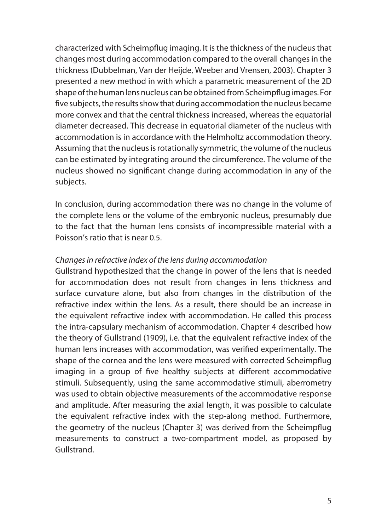characterized with Scheimpflug imaging. It is the thickness of the nucleus that changes most during accommodation compared to the overall changes in the thickness (Dubbelman, Van der Heijde, Weeber and Vrensen, 2003). Chapter 3 presented a new method in with which a parametric measurement of the 2D shape of the human lens nucleus can be obtained from Scheimpflug images. For five subjects, the results show that during accommodation the nucleus became more convex and that the central thickness increased, whereas the equatorial diameter decreased. This decrease in equatorial diameter of the nucleus with accommodation is in accordance with the Helmholtz accommodation theory. Assuming that the nucleus is rotationally symmetric, the volume of the nucleus can be estimated by integrating around the circumference. The volume of the nucleus showed no significant change during accommodation in any of the subjects.

In conclusion, during accommodation there was no change in the volume of the complete lens or the volume of the embryonic nucleus, presumably due to the fact that the human lens consists of incompressible material with a Poisson's ratio that is near 0.5.

### *Changes in refractive index of the lens during accommodation*

Gullstrand hypothesized that the change in power of the lens that is needed for accommodation does not result from changes in lens thickness and surface curvature alone, but also from changes in the distribution of the refractive index within the lens. As a result, there should be an increase in the equivalent refractive index with accommodation. He called this process the intra-capsulary mechanism of accommodation. Chapter 4 described how the theory of Gullstrand (1909), i.e. that the equivalent refractive index of the human lens increases with accommodation, was verified experimentally. The shape of the cornea and the lens were measured with corrected Scheimpflug imaging in a group of five healthy subjects at different accommodative stimuli. Subsequently, using the same accommodative stimuli, aberrometry was used to obtain objective measurements of the accommodative response and amplitude. After measuring the axial length, it was possible to calculate the equivalent refractive index with the step-along method. Furthermore, the geometry of the nucleus (Chapter 3) was derived from the Scheimpflug measurements to construct a two-compartment model, as proposed by Gullstrand.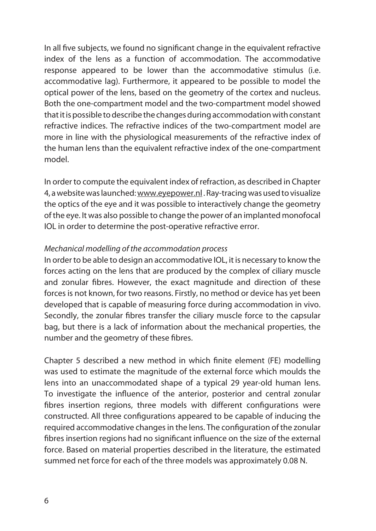In all five subjects, we found no significant change in the equivalent refractive index of the lens as a function of accommodation. The accommodative response appeared to be lower than the accommodative stimulus (i.e. accommodative lag). Furthermore, it appeared to be possible to model the optical power of the lens, based on the geometry of the cortex and nucleus. Both the one-compartment model and the two-compartment model showed that it is possible to describe the changes during accommodation with constant refractive indices. The refractive indices of the two-compartment model are more in line with the physiological measurements of the refractive index of the human lens than the equivalent refractive index of the one-compartment model.

In order to compute the equivalent index of refraction, as described in Chapter 4, a website was launched: www.eyepower.nl . Ray-tracing was used to visualize the optics of the eye and it was possible to interactively change the geometry of the eye. It was also possible to change the power of an implanted monofocal IOL in order to determine the post-operative refractive error.

#### *Mechanical modelling of the accommodation process*

In order to be able to design an accommodative IOL, it is necessary to know the forces acting on the lens that are produced by the complex of ciliary muscle and zonular fibres. However, the exact magnitude and direction of these forces is not known, for two reasons. Firstly, no method or device has yet been developed that is capable of measuring force during accommodation in vivo. Secondly, the zonular fibres transfer the ciliary muscle force to the capsular bag, but there is a lack of information about the mechanical properties, the number and the geometry of these fibres.

Chapter 5 described a new method in which finite element (FE) modelling was used to estimate the magnitude of the external force which moulds the lens into an unaccommodated shape of a typical 29 year-old human lens. To investigate the influence of the anterior, posterior and central zonular fibres insertion regions, three models with different configurations were constructed. All three configurations appeared to be capable of inducing the required accommodative changes in the lens. The configuration of the zonular fibres insertion regions had no significant influence on the size of the external force. Based on material properties described in the literature, the estimated summed net force for each of the three models was approximately 0.08 N.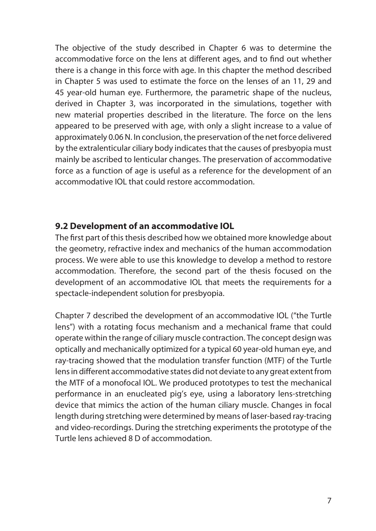The objective of the study described in Chapter 6 was to determine the accommodative force on the lens at different ages, and to find out whether there is a change in this force with age. In this chapter the method described in Chapter 5 was used to estimate the force on the lenses of an 11, 29 and 45 year-old human eye. Furthermore, the parametric shape of the nucleus, derived in Chapter 3, was incorporated in the simulations, together with new material properties described in the literature. The force on the lens appeared to be preserved with age, with only a slight increase to a value of approximately 0.06 N. In conclusion, the preservation of the net force delivered by the extralenticular ciliary body indicates that the causes of presbyopia must mainly be ascribed to lenticular changes. The preservation of accommodative force as a function of age is useful as a reference for the development of an accommodative IOL that could restore accommodation.

## **9.2 Development of an accommodative IOL**

The first part of this thesis described how we obtained more knowledge about the geometry, refractive index and mechanics of the human accommodation process. We were able to use this knowledge to develop a method to restore accommodation. Therefore, the second part of the thesis focused on the development of an accommodative IOL that meets the requirements for a spectacle-independent solution for presbyopia.

Chapter 7 described the development of an accommodative IOL ("the Turtle lens") with a rotating focus mechanism and a mechanical frame that could operate within the range of ciliary muscle contraction. The concept design was optically and mechanically optimized for a typical 60 year-old human eye, and ray-tracing showed that the modulation transfer function (MTF) of the Turtle lens in different accommodative states did not deviate to any great extent from the MTF of a monofocal IOL. We produced prototypes to test the mechanical performance in an enucleated pig's eye, using a laboratory lens-stretching device that mimics the action of the human ciliary muscle. Changes in focal length during stretching were determined by means of laser-based ray-tracing and video-recordings. During the stretching experiments the prototype of the Turtle lens achieved 8 D of accommodation.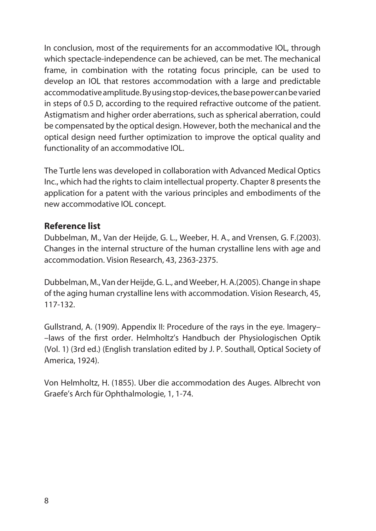In conclusion, most of the requirements for an accommodative IOL, through which spectacle-independence can be achieved, can be met. The mechanical frame, in combination with the rotating focus principle, can be used to develop an IOL that restores accommodation with a large and predictable accommodative amplitude. By using stop-devices, the base power can be varied in steps of 0.5 D, according to the required refractive outcome of the patient. Astigmatism and higher order aberrations, such as spherical aberration, could be compensated by the optical design. However, both the mechanical and the optical design need further optimization to improve the optical quality and functionality of an accommodative IOL.

The Turtle lens was developed in collaboration with Advanced Medical Optics Inc., which had the rights to claim intellectual property. Chapter 8 presents the application for a patent with the various principles and embodiments of the new accommodative IOL concept.

## **Reference list**

Dubbelman, M., Van der Heijde, G. L., Weeber, H. A., and Vrensen, G. F.(2003). Changes in the internal structure of the human crystalline lens with age and accommodation. Vision Research, 43, 2363-2375.

Dubbelman, M., Van der Heijde, G. L., and Weeber, H. A.(2005). Change in shape of the aging human crystalline lens with accommodation. Vision Research, 45, 117-132.

Gullstrand, A. (1909). Appendix II: Procedure of the rays in the eye. Imagery– –laws of the first order. Helmholtz's Handbuch der Physiologischen Optik (Vol. 1) (3rd ed.) (English translation edited by J. P. Southall, Optical Society of America, 1924).

Von Helmholtz, H. (1855). Uber die accommodation des Auges. Albrecht von Graefe's Arch für Ophthalmologie, 1, 1-74.